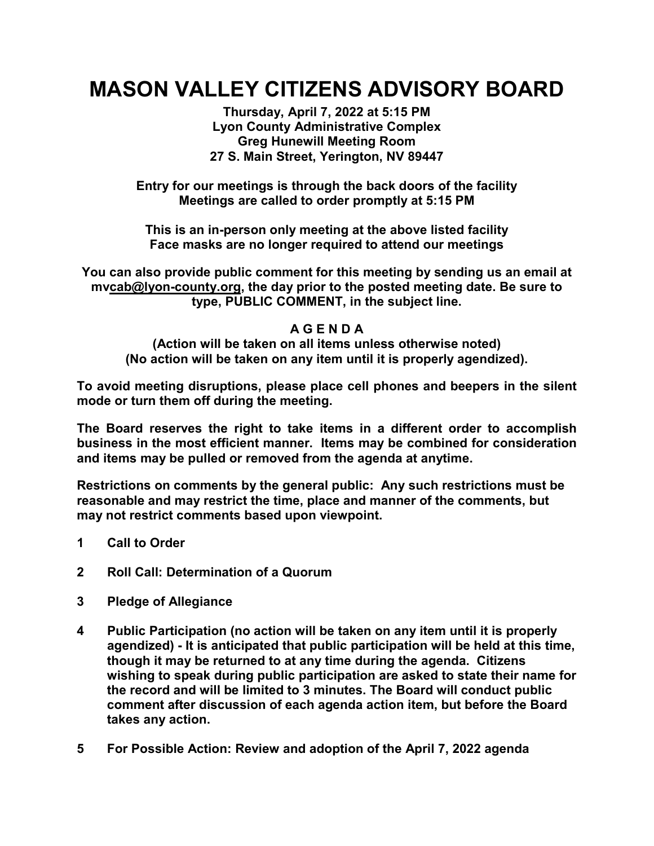## **MASON VALLEY CITIZENS ADVISORY BOARD**

**Thursday, April 7, 2022 at 5:15 PM Lyon County Administrative Complex Greg Hunewill Meeting Room 27 S. Main Street, Yerington, NV 89447**

**Entry for our meetings is through the back doors of the facility Meetings are called to order promptly at 5:15 PM**

**This is an in-person only meeting at the above listed facility Face masks are no longer required to attend our meetings**

**You can also provide public comment for this meeting by sending us an email at m[vcab@lyon-county.org,](mailto:sccab@lyon-county.org) the day prior to the posted meeting date. Be sure to type, PUBLIC COMMENT, in the subject line.**

## **A G E N D A**

**(Action will be taken on all items unless otherwise noted) (No action will be taken on any item until it is properly agendized).**

**To avoid meeting disruptions, please place cell phones and beepers in the silent mode or turn them off during the meeting.**

**The Board reserves the right to take items in a different order to accomplish business in the most efficient manner. Items may be combined for consideration and items may be pulled or removed from the agenda at anytime.**

**Restrictions on comments by the general public: Any such restrictions must be reasonable and may restrict the time, place and manner of the comments, but may not restrict comments based upon viewpoint.**

- **1 Call to Order**
- **2 Roll Call: Determination of a Quorum**
- **3 Pledge of Allegiance**
- **4 Public Participation (no action will be taken on any item until it is properly agendized) - It is anticipated that public participation will be held at this time, though it may be returned to at any time during the agenda. Citizens wishing to speak during public participation are asked to state their name for the record and will be limited to 3 minutes. The Board will conduct public comment after discussion of each agenda action item, but before the Board takes any action.**
- **5 For Possible Action: Review and adoption of the April 7, 2022 agenda**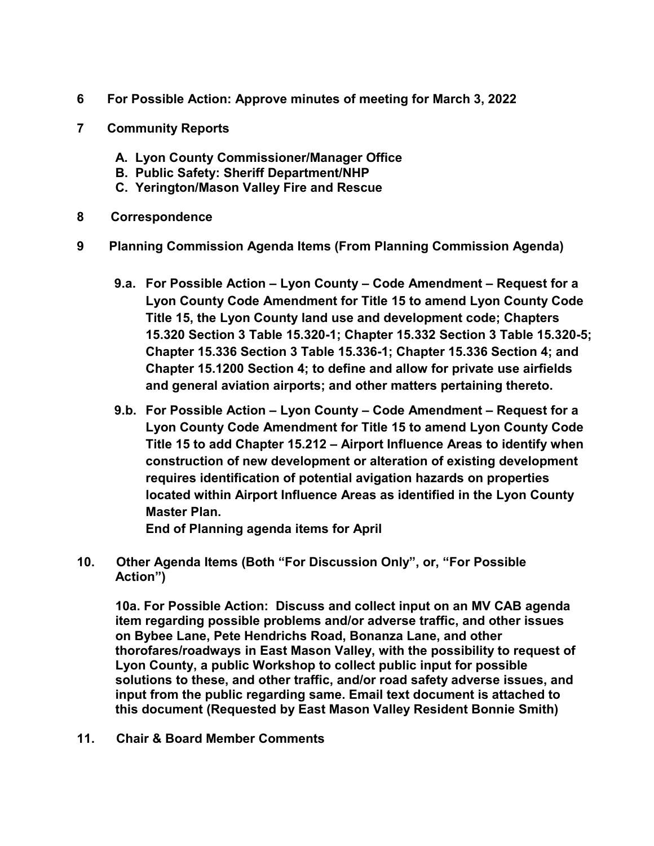- **6 For Possible Action: Approve minutes of meeting for March 3, 2022**
- **7 Community Reports**
	- **A. Lyon County Commissioner/Manager Office**
	- **B. Public Safety: Sheriff Department/NHP**
	- **C. Yerington/Mason Valley Fire and Rescue**
- **8 Correspondence**
- **9 Planning Commission Agenda Items (From Planning Commission Agenda)**
	- **9.a. For Possible Action – Lyon County – Code Amendment – Request for a Lyon County Code Amendment for Title 15 to amend Lyon County Code Title 15, the Lyon County land use and development code; Chapters 15.320 Section 3 Table 15.320-1; Chapter 15.332 Section 3 Table 15.320-5; Chapter 15.336 Section 3 Table 15.336-1; Chapter 15.336 Section 4; and Chapter 15.1200 Section 4; to define and allow for private use airfields and general aviation airports; and other matters pertaining thereto.**
	- **9.b. For Possible Action – Lyon County – Code Amendment – Request for a Lyon County Code Amendment for Title 15 to amend Lyon County Code Title 15 to add Chapter 15.212 – Airport Influence Areas to identify when construction of new development or alteration of existing development requires identification of potential avigation hazards on properties located within Airport Influence Areas as identified in the Lyon County Master Plan.**

**End of Planning agenda items for April**

**10. Other Agenda Items (Both "For Discussion Only", or, "For Possible Action")**

**10a. For Possible Action: Discuss and collect input on an MV CAB agenda item regarding possible problems and/or adverse traffic, and other issues on Bybee Lane, Pete Hendrichs Road, Bonanza Lane, and other thorofares/roadways in East Mason Valley, with the possibility to request of Lyon County, a public Workshop to collect public input for possible solutions to these, and other traffic, and/or road safety adverse issues, and input from the public regarding same. Email text document is attached to this document (Requested by East Mason Valley Resident Bonnie Smith)**

**11. Chair & Board Member Comments**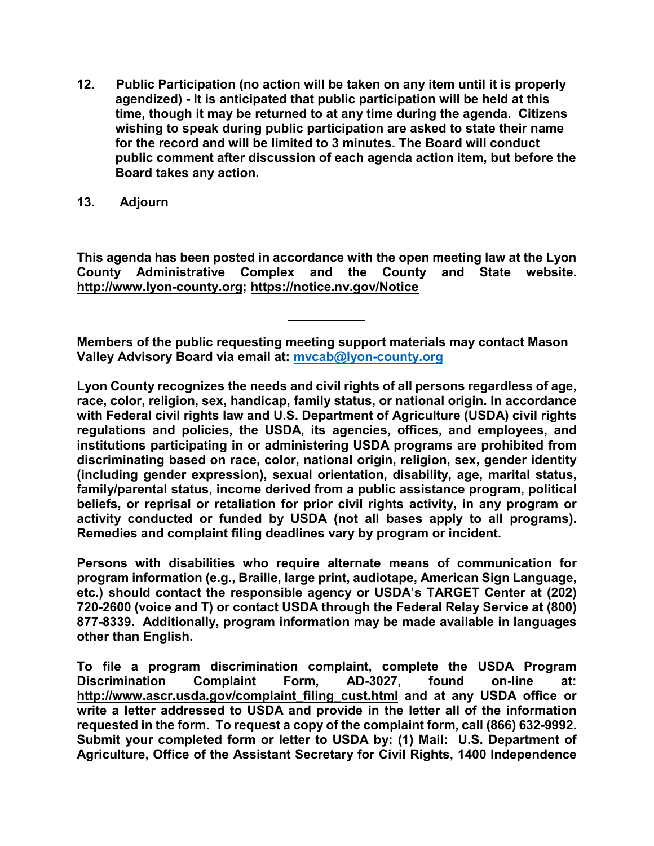- **12. Public Participation (no action will be taken on any item until it is properly agendized) - It is anticipated that public participation will be held at this time, though it may be returned to at any time during the agenda. Citizens wishing to speak during public participation are asked to state their name for the record and will be limited to 3 minutes. The Board will conduct public comment after discussion of each agenda action item, but before the Board takes any action.**
- **13. Adjourn**

**This agenda has been posted in accordance with the open meeting law at the Lyon County Administrative Complex and the County and State website. [http://www.lyon-county.org;](http://www.lyon-county.org/)<https://notice.nv.gov/Notice>**

**Members of the public requesting meeting support materials may contact Mason Valley Advisory Board via email at: [mvcab@lyon-county.org](mailto:mvcab@lyon-county.org)**

**Lyon County recognizes the needs and civil rights of all persons regardless of age, race, color, religion, sex, handicap, family status, or national origin. In accordance with Federal civil rights law and U.S. Department of Agriculture (USDA) civil rights regulations and policies, the USDA, its agencies, offices, and employees, and institutions participating in or administering USDA programs are prohibited from discriminating based on race, color, national origin, religion, sex, gender identity (including gender expression), sexual orientation, disability, age, marital status, family/parental status, income derived from a public assistance program, political beliefs, or reprisal or retaliation for prior civil rights activity, in any program or activity conducted or funded by USDA (not all bases apply to all programs). Remedies and complaint filing deadlines vary by program or incident.**

**Persons with disabilities who require alternate means of communication for program information (e.g., Braille, large print, audiotape, American Sign Language, etc.) should contact the responsible agency or USDA's TARGET Center at (202) 720-2600 (voice and T) or contact USDA through the Federal Relay Service at (800) 877-8339. Additionally, program information may be made available in languages other than English.**

**To file a program discrimination complaint, complete the USDA Program Discrimination Complaint Form, AD-3027, found on-line at: [http://www.ascr.usda.gov/complaint\\_filing\\_cust.html](http://www.ascr.usda.gov/complaint_filing_cust.html) and at any USDA office or write a letter addressed to USDA and provide in the letter all of the information requested in the form. To request a copy of the complaint form, call (866) 632-9992. Submit your completed form or letter to USDA by: (1) Mail: U.S. Department of Agriculture, Office of the Assistant Secretary for Civil Rights, 1400 Independence**